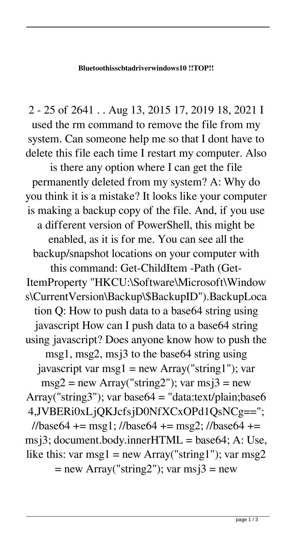## **Bluetoothisscbtadriverwindows10 !!TOP!!**

2 - 25 of 2641 . . Aug 13, 2015 17, 2019 18, 2021 I used the rm command to remove the file from my system. Can someone help me so that I dont have to delete this file each time I restart my computer. Also

is there any option where I can get the file permanently deleted from my system? A: Why do you think it is a mistake? It looks like your computer is making a backup copy of the file. And, if you use a different version of PowerShell, this might be enabled, as it is for me. You can see all the backup/snapshot locations on your computer with this command: Get-ChildItem -Path (Get-ItemProperty "HKCU:\Software\Microsoft\Window s\CurrentVersion\Backup\\$BackupID").BackupLoca tion Q: How to push data to a base64 string using javascript How can I push data to a base64 string using javascript? Does anyone know how to push the msg1, msg2, msj3 to the base64 string using javascript var msg1 = new Array("string1"); var  $msg2 = new Array("string2")$ ; var  $msj3 = new$ Array("string3"); var base64 = "data:text/plain;base6 4,JVBERi0xLjQKJcfsjD0NfXCxOPd1QsNCg==";  $1/base64 += msg1$ ;  $1/base64 += msg2$ ;  $1/base64 +=$ msj3; document.body.inner $HTML = base64$ ; A: Use, like this: var msg $1 = new Array("string1")$ ; var msg $2$  $=$  new Array("string2"); var msj $3 =$  new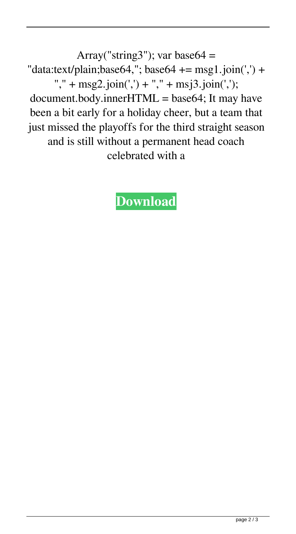Array("string3"); var base $64 =$ "data:text/plain;base64,"; base64 +=  $msg1.join(',') +$ "," + msg2.join(',') + "," + msj3.join(',');  $document-body.innerHTML = base64; It may have$ been a bit early for a holiday cheer, but a team that just missed the playoffs for the third straight season and is still without a permanent head coach celebrated with a

## **[Download](https://bltlly.com/2l1alu)**